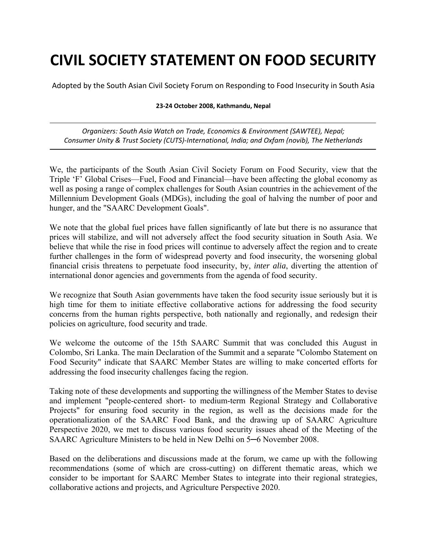# **CIVIL SOCIETY STATEMENT ON FOOD SECURITY**

Adopted by the South Asian Civil Society Forum on Responding to Food Insecurity in South Asia

#### **23‐24 October 2008, Kathmandu, Nepal**

*Organizers: South Asia Watch on Trade, Economics & Environment (SAWTEE), Nepal; Consumer Unity & Trust Society (CUTS)‐International, India; and Oxfam (novib), The Netherlands*

We, the participants of the South Asian Civil Society Forum on Food Security, view that the Triple 'F' Global Crises—Fuel, Food and Financial—have been affecting the global economy as well as posing a range of complex challenges for South Asian countries in the achievement of the Millennium Development Goals (MDGs), including the goal of halving the number of poor and hunger, and the "SAARC Development Goals".

We note that the global fuel prices have fallen significantly of late but there is no assurance that prices will stabilize, and will not adversely affect the food security situation in South Asia. We believe that while the rise in food prices will continue to adversely affect the region and to create further challenges in the form of widespread poverty and food insecurity, the worsening global financial crisis threatens to perpetuate food insecurity, by, *inter alia*, diverting the attention of international donor agencies and governments from the agenda of food security.

We recognize that South Asian governments have taken the food security issue seriously but it is high time for them to initiate effective collaborative actions for addressing the food security concerns from the human rights perspective, both nationally and regionally, and redesign their policies on agriculture, food security and trade.

We welcome the outcome of the 15th SAARC Summit that was concluded this August in Colombo, Sri Lanka. The main Declaration of the Summit and a separate "Colombo Statement on Food Security" indicate that SAARC Member States are willing to make concerted efforts for addressing the food insecurity challenges facing the region.

Taking note of these developments and supporting the willingness of the Member States to devise and implement "people-centered short- to medium-term Regional Strategy and Collaborative Projects" for ensuring food security in the region, as well as the decisions made for the operationalization of the SAARC Food Bank, and the drawing up of SAARC Agriculture Perspective 2020, we met to discuss various food security issues ahead of the Meeting of the SAARC Agriculture Ministers to be held in New Delhi on 5─6 November 2008.

Based on the deliberations and discussions made at the forum, we came up with the following recommendations (some of which are cross-cutting) on different thematic areas, which we consider to be important for SAARC Member States to integrate into their regional strategies, collaborative actions and projects, and Agriculture Perspective 2020.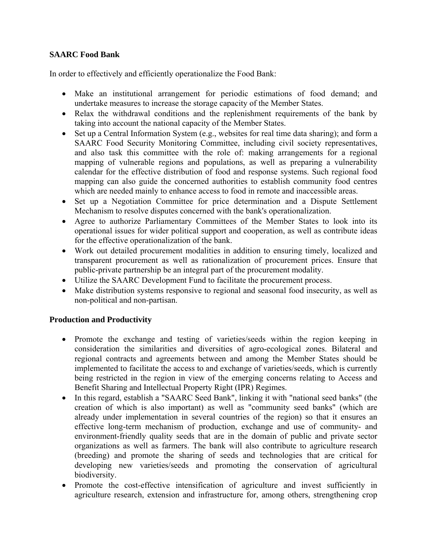## **SAARC Food Bank**

In order to effectively and efficiently operationalize the Food Bank:

- Make an institutional arrangement for periodic estimations of food demand; and undertake measures to increase the storage capacity of the Member States.
- Relax the withdrawal conditions and the replenishment requirements of the bank by taking into account the national capacity of the Member States.
- Set up a Central Information System (e.g., websites for real time data sharing); and form a SAARC Food Security Monitoring Committee, including civil society representatives, and also task this committee with the role of: making arrangements for a regional mapping of vulnerable regions and populations, as well as preparing a vulnerability calendar for the effective distribution of food and response systems. Such regional food mapping can also guide the concerned authorities to establish community food centres which are needed mainly to enhance access to food in remote and inaccessible areas.
- Set up a Negotiation Committee for price determination and a Dispute Settlement Mechanism to resolve disputes concerned with the bank's operationalization.
- Agree to authorize Parliamentary Committees of the Member States to look into its operational issues for wider political support and cooperation, as well as contribute ideas for the effective operationalization of the bank.
- Work out detailed procurement modalities in addition to ensuring timely, localized and transparent procurement as well as rationalization of procurement prices. Ensure that public-private partnership be an integral part of the procurement modality.
- Utilize the SAARC Development Fund to facilitate the procurement process.
- Make distribution systems responsive to regional and seasonal food insecurity, as well as non-political and non-partisan.

# **Production and Productivity**

- Promote the exchange and testing of varieties/seeds within the region keeping in consideration the similarities and diversities of agro-ecological zones. Bilateral and regional contracts and agreements between and among the Member States should be implemented to facilitate the access to and exchange of varieties/seeds, which is currently being restricted in the region in view of the emerging concerns relating to Access and Benefit Sharing and Intellectual Property Right (IPR) Regimes.
- In this regard, establish a "SAARC Seed Bank", linking it with "national seed banks" (the creation of which is also important) as well as "community seed banks" (which are already under implementation in several countries of the region) so that it ensures an effective long-term mechanism of production, exchange and use of community- and environment-friendly quality seeds that are in the domain of public and private sector organizations as well as farmers. The bank will also contribute to agriculture research (breeding) and promote the sharing of seeds and technologies that are critical for developing new varieties/seeds and promoting the conservation of agricultural biodiversity.
- Promote the cost-effective intensification of agriculture and invest sufficiently in agriculture research, extension and infrastructure for, among others, strengthening crop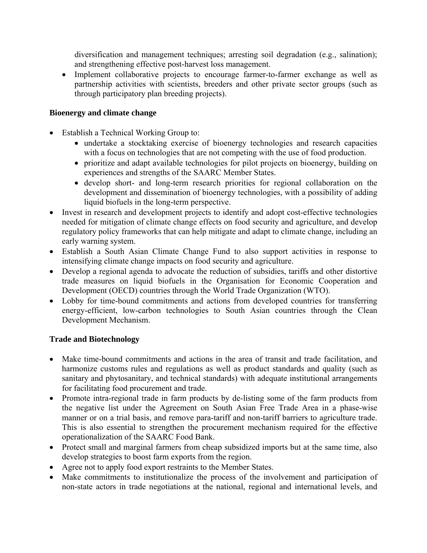diversification and management techniques; arresting soil degradation (e.g., salination); and strengthening effective post-harvest loss management.

• Implement collaborative projects to encourage farmer-to-farmer exchange as well as partnership activities with scientists, breeders and other private sector groups (such as through participatory plan breeding projects).

### **Bioenergy and climate change**

- Establish a Technical Working Group to:
	- undertake a stocktaking exercise of bioenergy technologies and research capacities with a focus on technologies that are not competing with the use of food production.
	- prioritize and adapt available technologies for pilot projects on bioenergy, building on experiences and strengths of the SAARC Member States.
	- develop short- and long-term research priorities for regional collaboration on the development and dissemination of bioenergy technologies, with a possibility of adding liquid biofuels in the long-term perspective.
- Invest in research and development projects to identify and adopt cost-effective technologies needed for mitigation of climate change effects on food security and agriculture, and develop regulatory policy frameworks that can help mitigate and adapt to climate change, including an early warning system.
- Establish a South Asian Climate Change Fund to also support activities in response to intensifying climate change impacts on food security and agriculture.
- Develop a regional agenda to advocate the reduction of subsidies, tariffs and other distortive trade measures on liquid biofuels in the Organisation for Economic Cooperation and Development (OECD) countries through the World Trade Organization (WTO).
- Lobby for time-bound commitments and actions from developed countries for transferring energy-efficient, low-carbon technologies to South Asian countries through the Clean Development Mechanism.

#### **Trade and Biotechnology**

- Make time-bound commitments and actions in the area of transit and trade facilitation, and harmonize customs rules and regulations as well as product standards and quality (such as sanitary and phytosanitary, and technical standards) with adequate institutional arrangements for facilitating food procurement and trade.
- Promote intra-regional trade in farm products by de-listing some of the farm products from the negative list under the Agreement on South Asian Free Trade Area in a phase-wise manner or on a trial basis, and remove para-tariff and non-tariff barriers to agriculture trade. This is also essential to strengthen the procurement mechanism required for the effective operationalization of the SAARC Food Bank.
- Protect small and marginal farmers from cheap subsidized imports but at the same time, also develop strategies to boost farm exports from the region.
- Agree not to apply food export restraints to the Member States.
- Make commitments to institutionalize the process of the involvement and participation of non-state actors in trade negotiations at the national, regional and international levels, and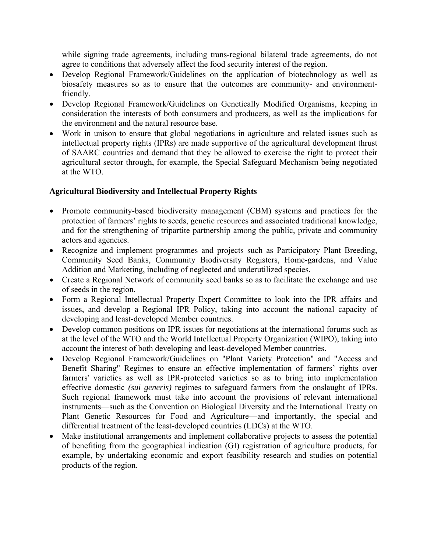while signing trade agreements, including trans-regional bilateral trade agreements, do not agree to conditions that adversely affect the food security interest of the region.

- Develop Regional Framework/Guidelines on the application of biotechnology as well as biosafety measures so as to ensure that the outcomes are community- and environmentfriendly.
- Develop Regional Framework/Guidelines on Genetically Modified Organisms, keeping in consideration the interests of both consumers and producers, as well as the implications for the environment and the natural resource base.
- Work in unison to ensure that global negotiations in agriculture and related issues such as intellectual property rights (IPRs) are made supportive of the agricultural development thrust of SAARC countries and demand that they be allowed to exercise the right to protect their agricultural sector through, for example, the Special Safeguard Mechanism being negotiated at the WTO.

# **Agricultural Biodiversity and Intellectual Property Rights**

- Promote community-based biodiversity management (CBM) systems and practices for the protection of farmers' rights to seeds, genetic resources and associated traditional knowledge, and for the strengthening of tripartite partnership among the public, private and community actors and agencies.
- Recognize and implement programmes and projects such as Participatory Plant Breeding, Community Seed Banks, Community Biodiversity Registers, Home-gardens, and Value Addition and Marketing, including of neglected and underutilized species.
- Create a Regional Network of community seed banks so as to facilitate the exchange and use of seeds in the region.
- Form a Regional Intellectual Property Expert Committee to look into the IPR affairs and issues, and develop a Regional IPR Policy, taking into account the national capacity of developing and least-developed Member countries.
- Develop common positions on IPR issues for negotiations at the international forums such as at the level of the WTO and the World Intellectual Property Organization (WIPO), taking into account the interest of both developing and least-developed Member countries.
- Develop Regional Framework/Guidelines on "Plant Variety Protection" and "Access and Benefit Sharing" Regimes to ensure an effective implementation of farmers' rights over farmers' varieties as well as IPR-protected varieties so as to bring into implementation effective domestic *(sui generis)* regimes to safeguard farmers from the onslaught of IPRs. Such regional framework must take into account the provisions of relevant international instruments—such as the Convention on Biological Diversity and the International Treaty on Plant Genetic Resources for Food and Agriculture—and importantly, the special and differential treatment of the least-developed countries (LDCs) at the WTO.
- Make institutional arrangements and implement collaborative projects to assess the potential of benefiting from the geographical indication (GI) registration of agriculture products, for example, by undertaking economic and export feasibility research and studies on potential products of the region.